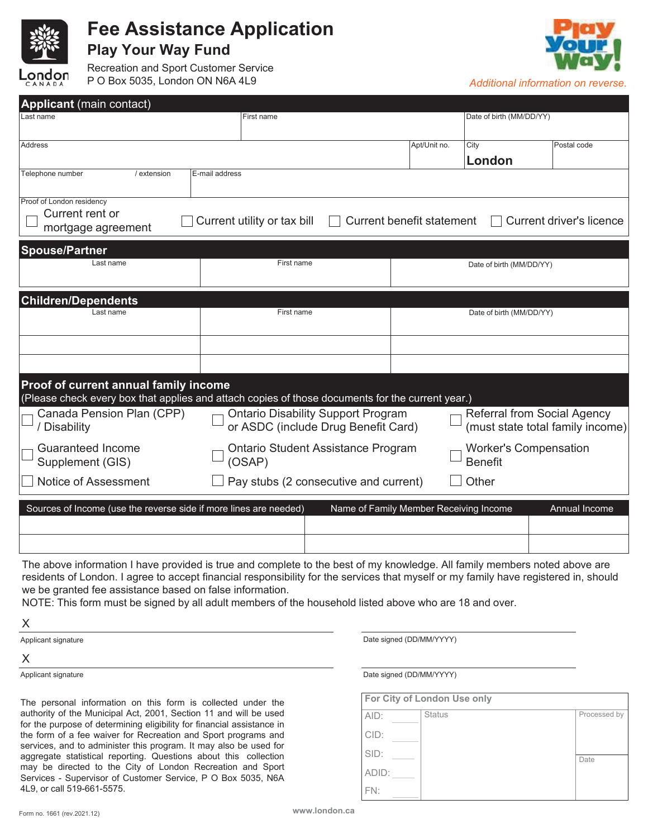

## **Fee Assistance Application**

**Play Your Way Fund**

Recreation and Sport Customer Service P O Box 5035, London ON N6A 4L9 *Additional information on reverse.* 



| <b>Applicant</b> (main contact)                                                                                                           |                                                                                  |                                                |                                    |                                  |  |  |
|-------------------------------------------------------------------------------------------------------------------------------------------|----------------------------------------------------------------------------------|------------------------------------------------|------------------------------------|----------------------------------|--|--|
| Last name                                                                                                                                 | First name                                                                       |                                                | Date of birth (MM/DD/YY)           |                                  |  |  |
| Address                                                                                                                                   |                                                                                  | Apt/Unit no.                                   | City                               | Postal code                      |  |  |
|                                                                                                                                           |                                                                                  |                                                | London                             |                                  |  |  |
| Telephone number<br>/ extension                                                                                                           | E-mail address                                                                   |                                                |                                    |                                  |  |  |
| Proof of London residency<br>Current rent or<br>mortgage agreement                                                                        | Current utility or tax bill                                                      | Current benefit statement                      |                                    | Current driver's licence         |  |  |
| <b>Spouse/Partner</b>                                                                                                                     |                                                                                  |                                                |                                    |                                  |  |  |
| Last name                                                                                                                                 | First name                                                                       |                                                | Date of birth (MM/DD/YY)           |                                  |  |  |
| <b>Children/Dependents</b>                                                                                                                |                                                                                  |                                                |                                    |                                  |  |  |
| Last name                                                                                                                                 | First name                                                                       |                                                | Date of birth (MM/DD/YY)           |                                  |  |  |
|                                                                                                                                           |                                                                                  |                                                |                                    |                                  |  |  |
|                                                                                                                                           |                                                                                  |                                                |                                    |                                  |  |  |
| Proof of current annual family income<br>(Please check every box that applies and attach copies of those documents for the current year.) |                                                                                  |                                                |                                    |                                  |  |  |
| Canada Pension Plan (CPP)<br>/ Disability                                                                                                 | <b>Ontario Disability Support Program</b><br>or ASDC (include Drug Benefit Card) |                                                | <b>Referral from Social Agency</b> | (must state total family income) |  |  |
| <b>Guaranteed Income</b><br>Supplement (GIS)                                                                                              | Ontario Student Assistance Program<br>(OSAP)                                     | <b>Worker's Compensation</b><br><b>Benefit</b> |                                    |                                  |  |  |
| Notice of Assessment                                                                                                                      | Pay stubs (2 consecutive and current)                                            | Other                                          |                                    |                                  |  |  |
| Sources of Income (use the reverse side if more lines are needed)                                                                         |                                                                                  | Name of Family Member Receiving Income         |                                    | Annual Income                    |  |  |

The above information I have provided is true and complete to the best of my knowledge. All family members noted above are residents of London. I agree to accept financial responsibility for the services that myself or my family have registered in, should we be granted fee assistance based on false information.

NOTE: This form must be signed by all adult members of the household listed above who are 18 and over.

X

 $\overline{\phantom{a}}$ 

X

The personal information on this form is collected under the authority of the Municipal Act, 2001, Section 11 and will be used for the purpose of determining eligibility for financial assistance in the form of a fee waiver for Recreation and Sport programs and services, and to administer this program. It may also be used for aggregate statistical reporting. Questions about this collection may be directed to the City of London Recreation and Sport Services - Supervisor of Customer Service, P O Box 5035, N6A 4L9, or call 519-661-5575.

Applicant signature **Date signed (DD/MM/YYYY)** and the Date signed (DD/MM/YYYY)

Applicant signature **Date signed (DD/MM/YYYY)** and the Date signed (DD/MM/YYYY)

| For City of London Use only |               |              |  |  |
|-----------------------------|---------------|--------------|--|--|
| AID:                        | <b>Status</b> | Processed by |  |  |
| CID:                        |               |              |  |  |
| SID:                        |               | Date         |  |  |
| ADID:                       |               |              |  |  |
| FN:                         |               |              |  |  |